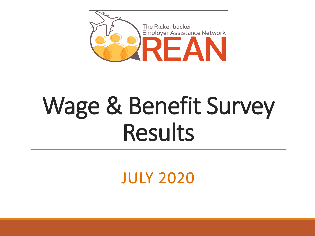

# Wage & Benefit Survey Results

JULY 2020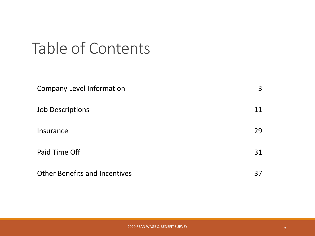### Table of Contents

| <b>Company Level Information</b>     | 3  |
|--------------------------------------|----|
| <b>Job Descriptions</b>              | 11 |
| Insurance                            | 29 |
| Paid Time Off                        | 31 |
| <b>Other Benefits and Incentives</b> | 37 |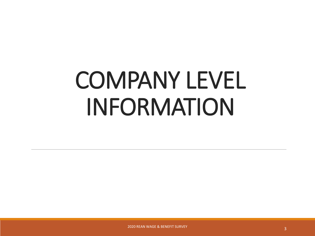# COMPANY LEVEL INFORMATION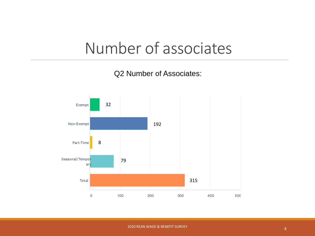### Number of associates

Q2 Number of Associates:

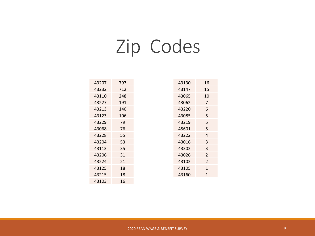# Zip Codes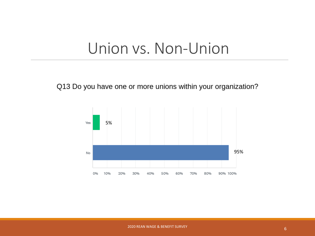### Union vs. Non-Union

Q13 Do you have one or more unions within your organization?

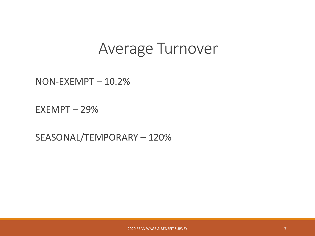#### Average Turnover

NON-EXEMPT – 10.2%

EXEMPT – 29%

SEASONAL/TEMPORARY – 120%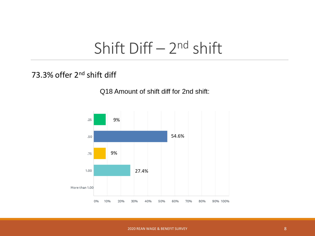### Shift  $Diff - 2<sup>nd</sup>$  shift

#### 73.3% offer 2<sup>nd</sup> shift diff

#### Q18 Amount of shift diff for 2nd shift:

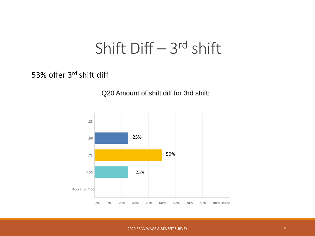### Shift Diff – 3<sup>rd</sup> shift

#### 53% offer 3rd shift diff

#### Q20 Amount of shift diff for 3rd shift:

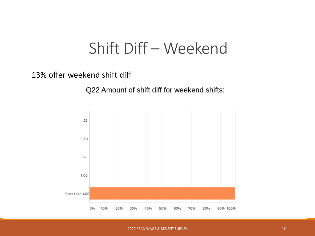### Shift Diff – Weekend

#### 13% offer weekend shift diff

Q22 Amount of shift diff for weekend shifts:

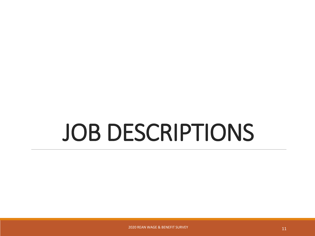# JOB DESCRIPTIONS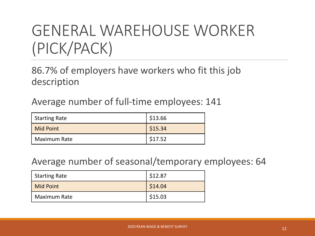### GENERAL WAREHOUSE WORKER (PICK/PACK)

#### 86.7% of employers have workers who fit this job description

Average number of full-time employees: 141

| <b>Starting Rate</b> | \$13.66 |
|----------------------|---------|
| Mid Point            | \$15.34 |
| <b>Maximum Rate</b>  | \$17.52 |

#### Average number of seasonal/temporary employees: 64

| <b>Starting Rate</b> | \$12.87 |
|----------------------|---------|
| Mid Point            | \$14.04 |
| <b>Maximum Rate</b>  | \$15.03 |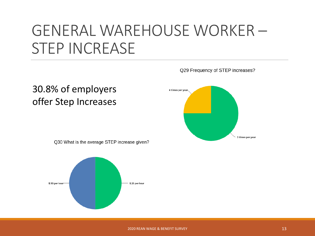### GENERAL WAREHOUSE WORKER – STEP INCREASE

## 30.8% of employers 4 times per year. offer Step Increases2 times per vear Q30 What is the average STEP increase given? \$.50 per hour \$.25 per hour

Q29 Frequency of STEP increases?

2020 REAN WAGE & BENEFIT SURVEY 13 AND 13 AND 13 AND 13 AND 13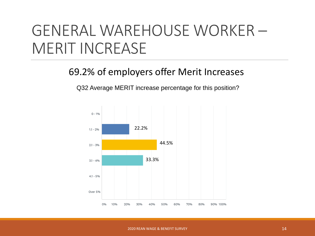### GENERAL WAREHOUSE WORKER – MERIT INCREASE

#### 69.2% of employers offer Merit Increases

Q32 Average MERIT increase percentage for this position?

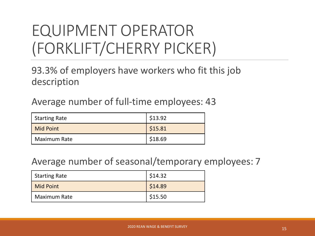### EQUIPMENT OPERATOR (FORKLIFT/CHERRY PICKER)

#### 93.3% of employers have workers who fit this job description

Average number of full-time employees: 43

| <b>Starting Rate</b> | \$13.92 |
|----------------------|---------|
| Mid Point            | \$15.81 |
| <b>Maximum Rate</b>  | \$18.69 |

#### Average number of seasonal/temporary employees: 7

| Starting Rate       | \$14.32 |
|---------------------|---------|
| Mid Point           | \$14.89 |
| <b>Maximum Rate</b> | \$15.50 |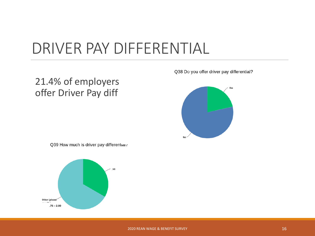### DRIVER PAY DIFFERENTIAL

#### 21.4% of employers offer Driver Pay diff

Q38 Do you offer driver pay differential?



Q39 How much is driver pay differential?

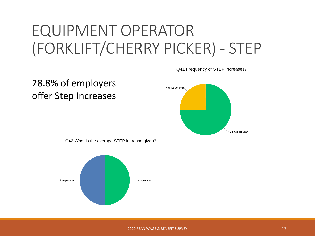### EQUIPMENT OPERATOR (FORKLIFT/CHERRY PICKER) - STEP

Q41 Frequency of STEP increases?



Q42 What is the average STEP increase given?

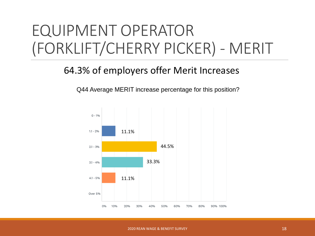### EQUIPMENT OPERATOR (FORKLIFT/CHERRY PICKER) - MERIT

#### 64.3% of employers offer Merit Increases

Q44 Average MERIT increase percentage for this position?

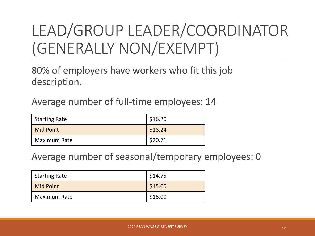### LEAD/GROUP LEADER/COORDINATOR (GENERALLY NON/EXEMPT)

80% of employers have workers who fit this job description.

Average number of full-time employees: 14

| <b>Starting Rate</b> | \$16.20 |
|----------------------|---------|
| <b>Mid Point</b>     | \$18.24 |
| <b>Maximum Rate</b>  | \$20.71 |

Average number of seasonal/temporary employees: 0

| <b>Starting Rate</b> | \$14.75 |
|----------------------|---------|
| Mid Point            | \$15.00 |
| <b>Maximum Rate</b>  | \$18.00 |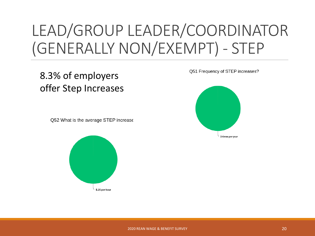### LEAD/GROUP LEADER/COORDINATOR (GENERALLY NON/EXEMPT) - STEP

#### 8.3% of employers offer Step Increases

O52 What is the average STEP increase



Q51 Frequency of STEP increases?

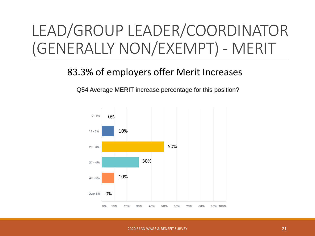### LEAD/GROUP LEADER/COORDINATOR (GENERALLY NON/EXEMPT) - MERIT

#### 83.3% of employers offer Merit Increases

Q54 Average MERIT increase percentage for this position?

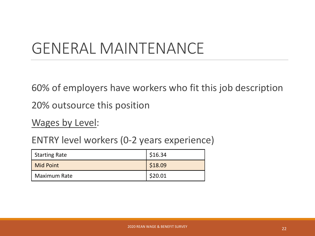### GENERAL MAINTENANCE

60% of employers have workers who fit this job description

20% outsource this position

Wages by Level:

ENTRY level workers (0-2 years experience)

| Starting Rate       | \$16.34 |
|---------------------|---------|
| Mid Point           | \$18.09 |
| <b>Maximum Rate</b> | \$20.01 |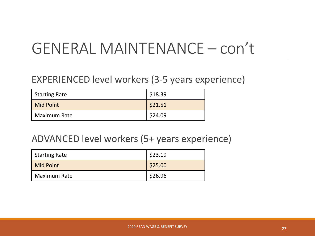### GENERAL MAINTENANCE – con't

#### EXPERIENCED level workers (3-5 years experience)

| <b>Starting Rate</b> | \$18.39 |
|----------------------|---------|
| <b>Mid Point</b>     | \$21.51 |
| <b>Maximum Rate</b>  | \$24.09 |

#### ADVANCED level workers (5+ years experience)

| <b>Starting Rate</b> | \$23.19 |
|----------------------|---------|
| Mid Point            | \$25.00 |
| <b>Maximum Rate</b>  | \$26.96 |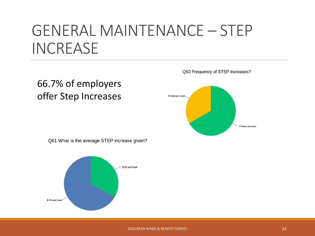### GENERAL MAINTENANCE – STEP INCREASE

66.7% of employers offer Step Increases Q60 Frequency of STEP increases?



Q61 What is the average STEP increase given?

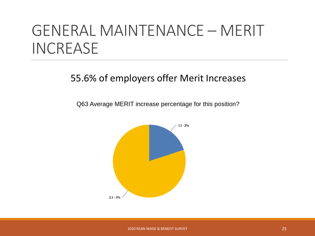### GENERAL MAINTENANCE – MERIT INCREASE

#### 55.6% of employers offer Merit Increases

Q63 Average MERIT increase percentage for this position?

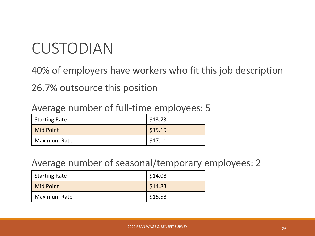### CUSTODIAN

40% of employers have workers who fit this job description

26.7% outsource this position

| <b>Starting Rate</b> | \$13.73 |
|----------------------|---------|
| <b>Mid Point</b>     | \$15.19 |
| <b>Maximum Rate</b>  | \$17.11 |

#### Average number of full-time employees: 5

#### Average number of seasonal/temporary employees: 2

| <b>Starting Rate</b> | \$14.08 |
|----------------------|---------|
| <b>Mid Point</b>     | \$14.83 |
| <b>Maximum Rate</b>  | \$15.58 |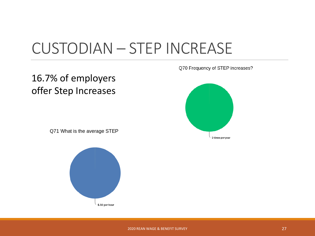### CUSTODIAN – STEP INCREASE

#### 16.7% of employers offer Step Increases

Q70 Frequency of STEP increases?



Q71 What is the average STEP

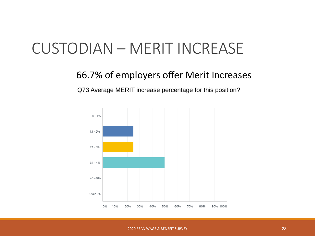### CUSTODIAN – MERIT INCREASE

#### 66.7% of employers offer Merit Increases

Q73 Average MERIT increase percentage for this position?

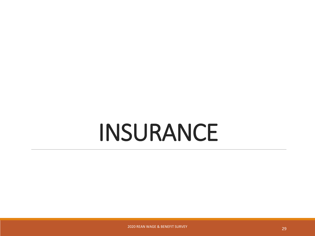# INSURANCE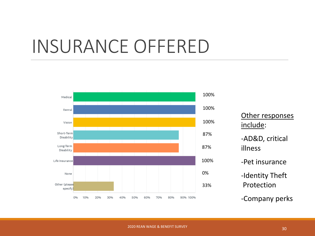## INSURANCE OFFERED



| Other responses<br>include:   |  |
|-------------------------------|--|
| -AD&D, critical<br>illness    |  |
| -Pet insurance                |  |
| -Identity Theft<br>Protection |  |
| -Company perks                |  |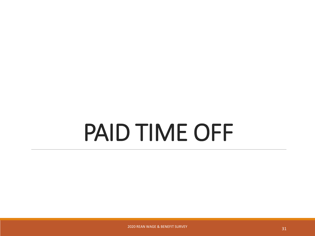# PAID TIME OFF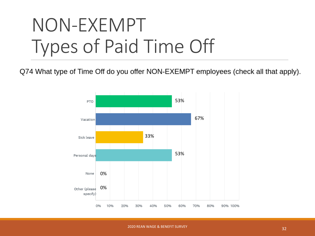# NON-EXEMPT Types of Paid Time Off

Q74 What type of Time Off do you offer NON-EXEMPT employees (check all that apply).

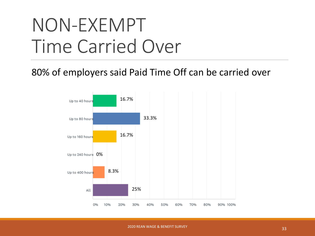# NON-EXEMPT Time Carried Over

80% of employers said Paid Time Off can be carried over

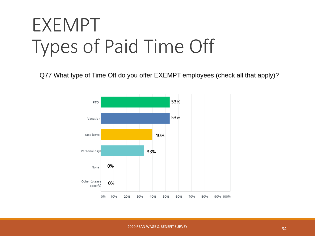# EXEMPT Types of Paid Time Off

Q77 What type of Time Off do you offer EXEMPT employees (check all that apply)?

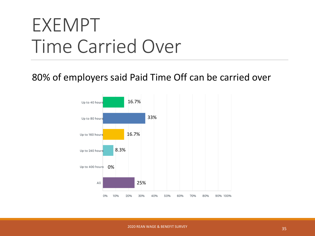# EXEMPT Time Carried Over

80% of employers said Paid Time Off can be carried over

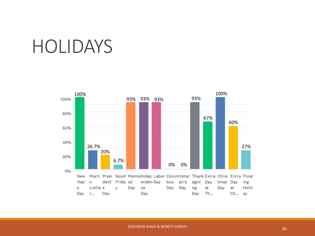## HOLIDAYS

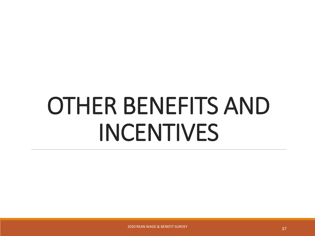# OTHER BENEFITS AND INCENTIVES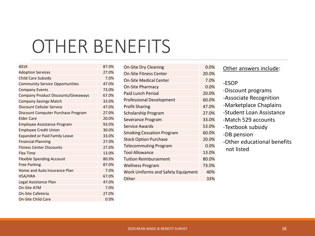## OTHER BENEFITS

| 401K                                   | 87.0% |
|----------------------------------------|-------|
| <b>Adoption Services</b>               | 27.0% |
| Child Care Subsidy                     | 7.0%  |
| <b>Community Service Opportunities</b> | 47.0% |
| <b>Company Events</b>                  | 73.0% |
| Company Product Discounts/Giveaways    | 67.0% |
| <b>Company Savings Match</b>           | 33.0% |
| Discount Cellular Service              | 47.0% |
| Discount Computer Purchase Program     | 27.0% |
| <b>Elder Care</b>                      | 20.0% |
| <b>Employee Assistance Program</b>     | 93.0% |
| <b>Employee Credit Union</b>           | 30.0% |
| <b>Expanded or Paid Family Leave</b>   | 33.0% |
| <b>Financial Planning</b>              | 27.0% |
| <b>Fitness Center Discounts</b>        | 27.0% |
| <b>Flex Time</b>                       | 13.0% |
| <b>Flexible Spending Account</b>       | 80.0% |
| <b>Free Parking</b>                    | 87.0% |
| Home and Auto Insurance Plan           | 7.0%  |
| HSA/HRA                                | 67.0% |
| Legal Assistance Plan                  | 47.0% |
| <b>On-Site ATM</b>                     | 7.0%  |
| <b>On-Site Cafeteria</b>               | 27.0% |
| <b>On-Site Child Care</b>              | 0.0%  |
|                                        |       |

| <b>On-Site Dry Cleaning</b>               | $0.0\%$ |
|-------------------------------------------|---------|
| <b>On-Site Fitness Center</b>             | 20.0%   |
| <b>On-Site Medical Center</b>             | 7.0%    |
| <b>On-Site Pharmacy</b>                   | 0.0%    |
| <b>Paid Lunch Period</b>                  | 20.0%   |
| <b>Professional Development</b>           | 60.0%   |
| <b>Profit Sharing</b>                     | 47.0%   |
| <b>Scholarship Program</b>                | 27.0%   |
| Severance Program                         | 33.0%   |
| Service Awards                            | 53.0%   |
| <b>Smoking Cessation Program</b>          | 60.0%   |
| <b>Stock Option Purchase</b>              | 20.0%   |
| <b>Telecommuting Program</b>              | 0.0%    |
| <b>Tool Allowance</b>                     | 13.0%   |
| <b>Tuition Reimbursement</b>              | 80.0%   |
| <b>Wellness Program</b>                   | 73.0%   |
| <b>Work Uniforms and Safety Equipment</b> | 40%     |
| Other                                     | 33%     |

|  | Other answers include: |
|--|------------------------|
|  |                        |

- -ESOP
- -Discount programs
- -Associate Recognition
- -Marketplace Chaplains
- -Student Loan Assistance
- -Match 529 accounts
- -Textbook subsidy
- -DB pension
	- -Other educational benefits not listed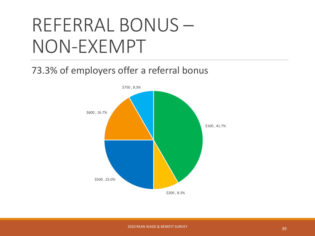# REFERRAL BONUS – NON-EXEMPT

#### 73.3% of employers offer a referral bonus

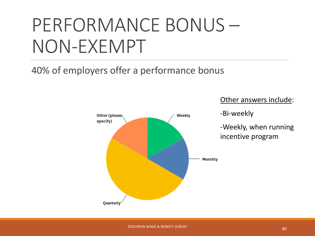# PERFORMANCE BONUS – NON-EXEMPT

40% of employers offer a performance bonus



Other answers include:

-Bi-weekly

-Weekly, when running incentive program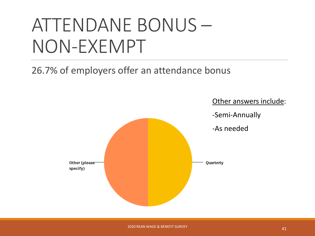# ATTENDANE BONUS – NON-EXEMPT

26.7% of employers offer an attendance bonus

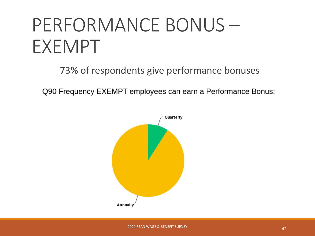# PERFORMANCE BONUS – EXEMPT

73% of respondents give performance bonuses

Q90 Frequency EXEMPT employees can earn a Performance Bonus: